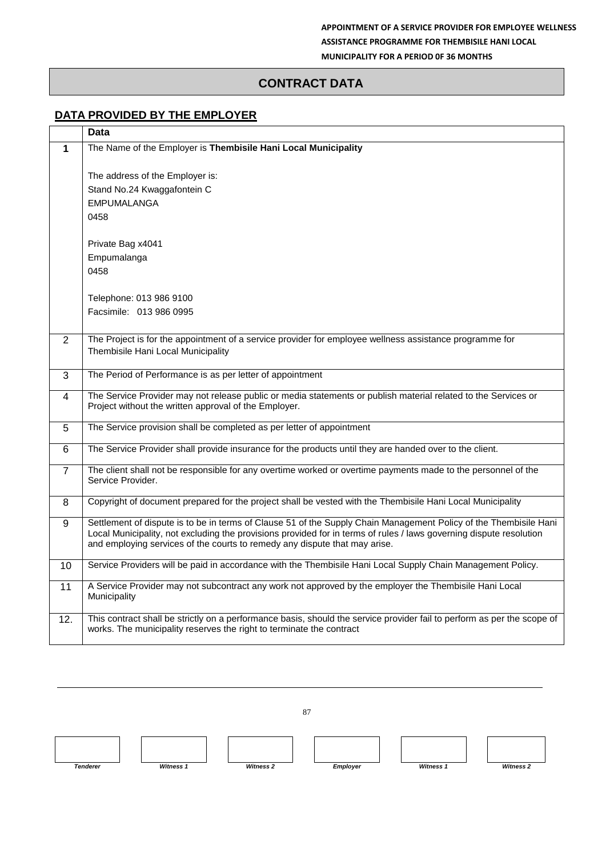## **CONTRACT DATA**

## **DATA PROVIDED BY THE EMPLOYER**

|     | <b>Data</b>                                                                                                                                                                                                                                                                                                            |  |
|-----|------------------------------------------------------------------------------------------------------------------------------------------------------------------------------------------------------------------------------------------------------------------------------------------------------------------------|--|
| 1   | The Name of the Employer is Thembisile Hani Local Municipality                                                                                                                                                                                                                                                         |  |
|     |                                                                                                                                                                                                                                                                                                                        |  |
|     | The address of the Employer is:                                                                                                                                                                                                                                                                                        |  |
|     | Stand No.24 Kwaggafontein C                                                                                                                                                                                                                                                                                            |  |
|     | <b>EMPUMALANGA</b>                                                                                                                                                                                                                                                                                                     |  |
|     | 0458                                                                                                                                                                                                                                                                                                                   |  |
|     | Private Bag x4041                                                                                                                                                                                                                                                                                                      |  |
|     | Empumalanga                                                                                                                                                                                                                                                                                                            |  |
|     | 0458                                                                                                                                                                                                                                                                                                                   |  |
|     |                                                                                                                                                                                                                                                                                                                        |  |
|     | Telephone: 013 986 9100                                                                                                                                                                                                                                                                                                |  |
|     | Facsimile: 013 986 0995                                                                                                                                                                                                                                                                                                |  |
|     |                                                                                                                                                                                                                                                                                                                        |  |
| 2   | The Project is for the appointment of a service provider for employee wellness assistance programme for                                                                                                                                                                                                                |  |
|     | Thembisile Hani Local Municipality                                                                                                                                                                                                                                                                                     |  |
| 3   | The Period of Performance is as per letter of appointment                                                                                                                                                                                                                                                              |  |
|     |                                                                                                                                                                                                                                                                                                                        |  |
| 4   | The Service Provider may not release public or media statements or publish material related to the Services or<br>Project without the written approval of the Employer.                                                                                                                                                |  |
| 5   | The Service provision shall be completed as per letter of appointment                                                                                                                                                                                                                                                  |  |
| 6   | The Service Provider shall provide insurance for the products until they are handed over to the client.                                                                                                                                                                                                                |  |
| 7   | The client shall not be responsible for any overtime worked or overtime payments made to the personnel of the<br>Service Provider.                                                                                                                                                                                     |  |
| 8   | Copyright of document prepared for the project shall be vested with the Thembisile Hani Local Municipality                                                                                                                                                                                                             |  |
| 9   | Settlement of dispute is to be in terms of Clause 51 of the Supply Chain Management Policy of the Thembisile Hani<br>Local Municipality, not excluding the provisions provided for in terms of rules / laws governing dispute resolution<br>and employing services of the courts to remedy any dispute that may arise. |  |
| 10  | Service Providers will be paid in accordance with the Thembisile Hani Local Supply Chain Management Policy.                                                                                                                                                                                                            |  |
| 11  | A Service Provider may not subcontract any work not approved by the employer the Thembisile Hani Local<br>Municipality                                                                                                                                                                                                 |  |
| 12. | This contract shall be strictly on a performance basis, should the service provider fail to perform as per the scope of<br>works. The municipality reserves the right to terminate the contract                                                                                                                        |  |

87